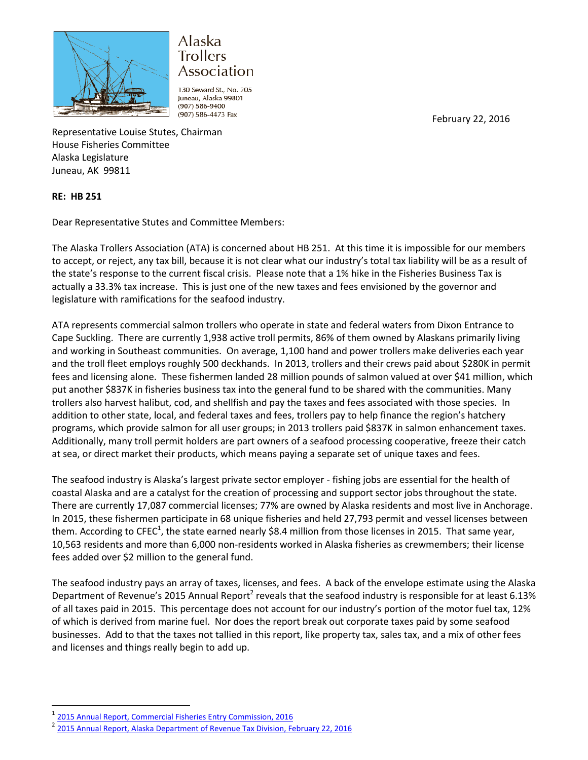

## Alaska **Trollers** Association

130 Seward St., No. 205 Juneau, Alaska 99801 (907) 586-9400 (907) 586-4473 Fax

February 22, 2016

Representative Louise Stutes, Chairman House Fisheries Committee Alaska Legislature Juneau, AK 99811

## **RE: HB 251**

Dear Representative Stutes and Committee Members:

The Alaska Trollers Association (ATA) is concerned about HB 251. At this time it is impossible for our members to accept, or reject, any tax bill, because it is not clear what our industry's total tax liability will be as a result of the state's response to the current fiscal crisis. Please note that a 1% hike in the Fisheries Business Tax is actually a 33.3% tax increase. This is just one of the new taxes and fees envisioned by the governor and legislature with ramifications for the seafood industry.

ATA represents commercial salmon trollers who operate in state and federal waters from Dixon Entrance to Cape Suckling. There are currently 1,938 active troll permits, 86% of them owned by Alaskans primarily living and working in Southeast communities. On average, 1,100 hand and power trollers make deliveries each year and the troll fleet employs roughly 500 deckhands. In 2013, trollers and their crews paid about \$280K in permit fees and licensing alone. These fishermen landed 28 million pounds of salmon valued at over \$41 million, which put another \$837K in fisheries business tax into the general fund to be shared with the communities. Many trollers also harvest halibut, cod, and shellfish and pay the taxes and fees associated with those species. In addition to other state, local, and federal taxes and fees, trollers pay to help finance the region's hatchery programs, which provide salmon for all user groups; in 2013 trollers paid \$837K in salmon enhancement taxes. Additionally, many troll permit holders are part owners of a seafood processing cooperative, freeze their catch at sea, or direct market their products, which means paying a separate set of unique taxes and fees.

The seafood industry is Alaska's largest private sector employer - fishing jobs are essential for the health of coastal Alaska and are a catalyst for the creation of processing and support sector jobs throughout the state. There are currently 17,087 commercial licenses; 77% are owned by Alaska residents and most live in Anchorage. In 2015, these fishermen participate in 68 unique fisheries and held 27,793 permit and vessel licenses between them. According to CFEC<sup>1</sup>, the state earned nearly \$8.4 million from those licenses in 2015. That same year, 10,563 residents and more than 6,000 non-residents worked in Alaska fisheries as crewmembers; their license fees added over \$2 million to the general fund.

The seafood industry pays an array of taxes, licenses, and fees. A back of the envelope estimate using the Alaska Department of Revenue's 2015 Annual Report<sup>2</sup> reveals that the seafood industry is responsible for at least 6.13% of all taxes paid in 2015. This percentage does not account for our industry's portion of the motor fuel tax, 12% of which is derived from marine fuel. Nor does the report break out corporate taxes paid by some seafood businesses. Add to that the taxes not tallied in this report, like property tax, sales tax, and a mix of other fees and licenses and things really begin to add up.

l

<sup>1</sup> [2015 Annual Report, Commercial Fisheries Entry Commission, 2016](https://www.cfec.state.ak.us/annrpts/ar2015.pdf)

<sup>2</sup> [2015 Annual Report, Alaska Department of Revenue](http://www.tax.alaska.gov/programs/documentviewer/viewer.aspx?1107r) Tax Division, February 22, 2016